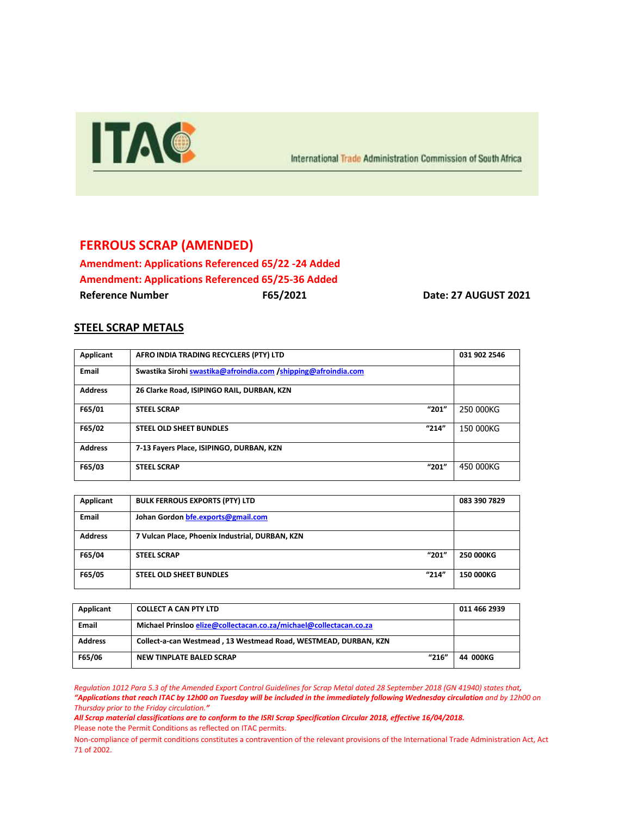

International Trade Administration Commission of South Africa

## **FERROUS SCRAP (AMENDED)**

**Amendment: Applications Referenced 65/22 -24 Added Amendment: Applications Referenced 65/25-36 Added Reference Number F65/2021 Date: 27 AUGUST 2021**

## **STEEL SCRAP METALS**

| Applicant      | AFRO INDIA TRADING RECYCLERS (PTY) LTD                         | 031 902 2546 |
|----------------|----------------------------------------------------------------|--------------|
| Email          | Swastika Sirohi swastika@afroindia.com /shipping@afroindia.com |              |
| <b>Address</b> | 26 Clarke Road, ISIPINGO RAIL, DURBAN, KZN                     |              |
| F65/01         | "201"<br><b>STEEL SCRAP</b>                                    | 250 000KG    |
| F65/02         | "214"<br><b>STEEL OLD SHEET BUNDLES</b>                        | 150 000KG    |
| <b>Address</b> | 7-13 Fayers Place, ISIPINGO, DURBAN, KZN                       |              |
| F65/03         | "201"<br><b>STEEL SCRAP</b>                                    | 450 000KG    |

| Applicant      | <b>BULK FERROUS EXPORTS (PTY) LTD</b>           | 083 390 7829     |
|----------------|-------------------------------------------------|------------------|
| <b>Email</b>   | Johan Gordon bfe.exports@gmail.com              |                  |
| <b>Address</b> | 7 Vulcan Place, Phoenix Industrial, DURBAN, KZN |                  |
| F65/04         | "201"<br><b>STEEL SCRAP</b>                     | <b>250 000KG</b> |
| F65/05         | "214"<br><b>STEEL OLD SHEET BUNDLES</b>         | <b>150 000KG</b> |

| Applicant      | <b>COLLECT A CAN PTY LTD</b>                                       |       | 011 466 2939 |
|----------------|--------------------------------------------------------------------|-------|--------------|
| Email          | Michael Prinsloo elize@collectacan.co.za/michael@collectacan.co.za |       |              |
| <b>Address</b> | Collect-a-can Westmead, 13 Westmead Road, WESTMEAD, DURBAN, KZN    |       |              |
| F65/06         | NEW TINPLATE BALED SCRAP                                           | "216" | 44 000KG     |

*Regulation 1012 Para 5.3 of the Amended Export Control Guidelines for Scrap Metal dated 28 September 2018 (GN 41940) states that, "Applications that reach ITAC by 12h00 on Tuesday will be included in the immediately following Wednesday circulation and by 12h00 on Thursday prior to the Friday circulation."*

*All Scrap material classifications are to conform to the ISRI Scrap Specification Circular 2018, effective 16/04/2018.* Please note the Permit Conditions as reflected on ITAC permits.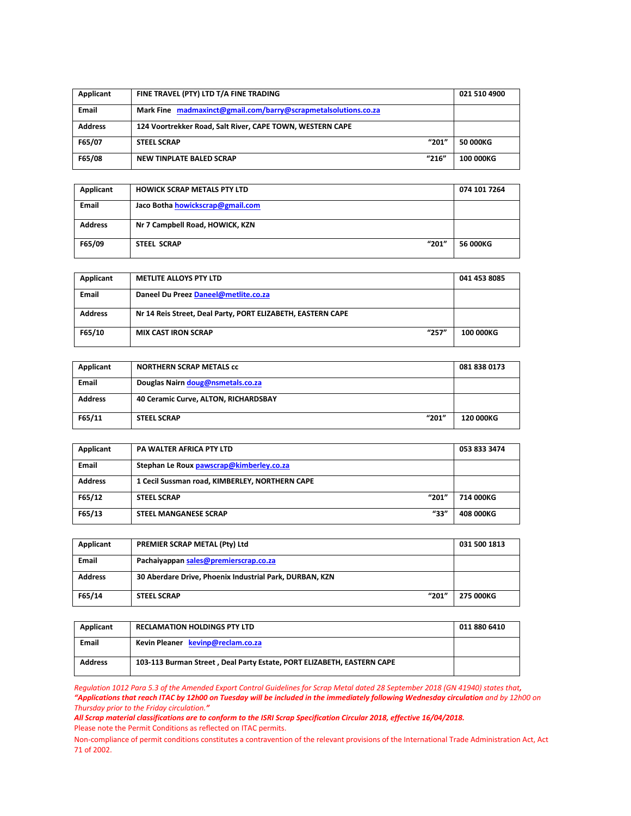| Applicant      | FINE TRAVEL (PTY) LTD T/A FINE TRADING                         |       | 021 510 4900     |
|----------------|----------------------------------------------------------------|-------|------------------|
| <b>Email</b>   | Mark Fine madmaxinct@gmail.com/barry@scrapmetalsolutions.co.za |       |                  |
| <b>Address</b> | 124 Voortrekker Road, Salt River, CAPE TOWN, WESTERN CAPE      |       |                  |
| F65/07         | <b>STEEL SCRAP</b>                                             | "201" | 50 000KG         |
| F65/08         | NEW TINPLATE BALED SCRAP                                       | "216" | <b>100 000KG</b> |

| Applicant      | <b>HOWICK SCRAP METALS PTY LTD</b> | 074 101 7264 |
|----------------|------------------------------------|--------------|
| <b>Email</b>   | Jaco Botha howickscrap@gmail.com   |              |
| <b>Address</b> | Nr 7 Campbell Road, HOWICK, KZN    |              |
| F65/09         | "201"<br><b>STEEL SCRAP</b>        | 56 000KG     |

| Applicant      | <b>METLITE ALLOYS PTY LTD</b>                               | 041 453 8085     |
|----------------|-------------------------------------------------------------|------------------|
| <b>Email</b>   | Daneel Du Preez Daneel@metlite.co.za                        |                  |
| <b>Address</b> | Nr 14 Reis Street, Deal Party, PORT ELIZABETH, EASTERN CAPE |                  |
| F65/10         | "257"<br><b>MIX CAST IRON SCRAP</b>                         | <b>100 000KG</b> |

| Applicant      | <b>NORTHERN SCRAP METALS CC</b>      | 081 838 0173 |
|----------------|--------------------------------------|--------------|
| <b>Email</b>   | Douglas Nairn doug@nsmetals.co.za    |              |
| <b>Address</b> | 40 Ceramic Curve, ALTON, RICHARDSBAY |              |
| F65/11         | "201"<br><b>STEEL SCRAP</b>          | 120 000KG    |

| Applicant      | <b>PA WALTER AFRICA PTY LTD</b>                | 053 833 3474 |
|----------------|------------------------------------------------|--------------|
| <b>Email</b>   | Stephan Le Roux pawscrap@kimberley.co.za       |              |
| <b>Address</b> | 1 Cecil Sussman road, KIMBERLEY, NORTHERN CAPE |              |
| F65/12         | "201"<br><b>STEEL SCRAP</b>                    | 714 000KG    |
| F65/13         | "33"<br><b>STEEL MANGANESE SCRAP</b>           | 408 000KG    |

| Applicant      | PREMIER SCRAP METAL (Pty) Ltd                           | 031 500 1813 |
|----------------|---------------------------------------------------------|--------------|
| <b>Email</b>   | Pachaiyappan sales@premierscrap.co.za                   |              |
| <b>Address</b> | 30 Aberdare Drive, Phoenix Industrial Park, DURBAN, KZN |              |
| F65/14         | "201"<br><b>STEEL SCRAP</b>                             | 275 000KG    |

| Applicant      | <b>RECLAMATION HOLDINGS PTY LTD</b>                                    | 011 880 6410 |
|----------------|------------------------------------------------------------------------|--------------|
| Email          | Kevin Pleaner kevinp@reclam.co.za                                      |              |
| <b>Address</b> | 103-113 Burman Street, Deal Party Estate, PORT ELIZABETH, EASTERN CAPE |              |

*Regulation 1012 Para 5.3 of the Amended Export Control Guidelines for Scrap Metal dated 28 September 2018 (GN 41940) states that, "Applications that reach ITAC by 12h00 on Tuesday will be included in the immediately following Wednesday circulation and by 12h00 on Thursday prior to the Friday circulation."*

*All Scrap material classifications are to conform to the ISRI Scrap Specification Circular 2018, effective 16/04/2018.* Please note the Permit Conditions as reflected on ITAC permits.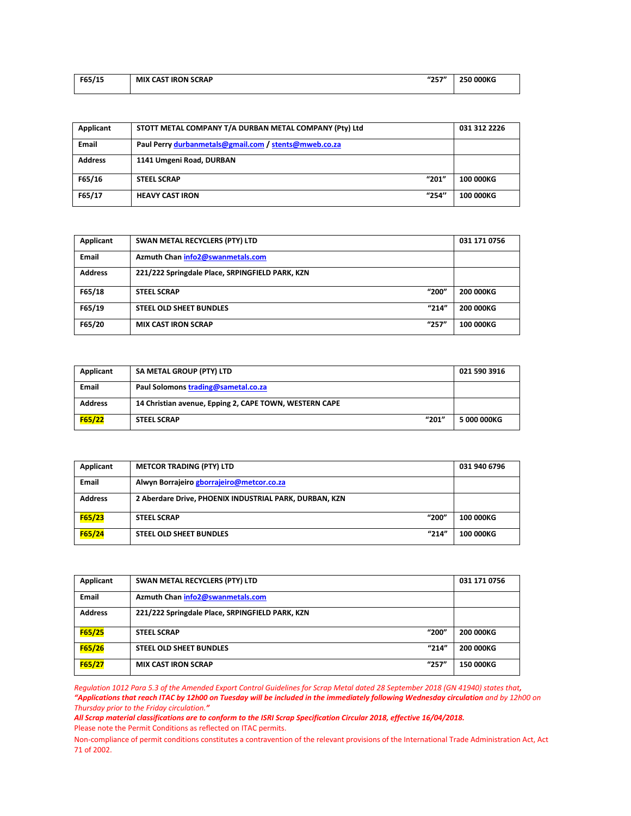| F65/15 | "257"<br><b>MIX CAST IRON SCRAP</b> | 250 000KG |
|--------|-------------------------------------|-----------|
|        |                                     |           |

| Applicant      | STOTT METAL COMPANY T/A DURBAN METAL COMPANY (Pty) Ltd | 031 312 2226     |
|----------------|--------------------------------------------------------|------------------|
| <b>Email</b>   | Paul Perry durbanmetals@gmail.com / stents@mweb.co.za  |                  |
| <b>Address</b> | 1141 Umgeni Road, DURBAN                               |                  |
| F65/16         | "201"<br><b>STEEL SCRAP</b>                            | <b>100 000KG</b> |
| F65/17         | "254"<br><b>HEAVY CAST IRON</b>                        | <b>100 000KG</b> |

| Applicant      | SWAN METAL RECYCLERS (PTY) LTD                  | 031 171 0756     |
|----------------|-------------------------------------------------|------------------|
| <b>Email</b>   | Azmuth Chan info2@swanmetals.com                |                  |
| <b>Address</b> | 221/222 Springdale Place, SRPINGFIELD PARK, KZN |                  |
| F65/18         | "200"<br><b>STEEL SCRAP</b>                     | 200 000KG        |
| F65/19         | "214"<br>STEEL OLD SHEET BUNDLES                | 200 000KG        |
| F65/20         | "257"<br><b>MIX CAST IRON SCRAP</b>             | <b>100 000KG</b> |

| Applicant      | SA METAL GROUP (PTY) LTD                               | 021 590 3916 |
|----------------|--------------------------------------------------------|--------------|
| <b>Email</b>   | Paul Solomons trading@sametal.co.za                    |              |
| <b>Address</b> | 14 Christian avenue, Epping 2, CAPE TOWN, WESTERN CAPE |              |
| F65/22         | "201"<br><b>STEEL SCRAP</b>                            | 5 000 000KG  |

| Applicant      | <b>METCOR TRADING (PTY) LTD</b>                        | 031 940 6796     |
|----------------|--------------------------------------------------------|------------------|
| <b>Email</b>   | Alwyn Borrajeiro gborrajeiro@metcor.co.za              |                  |
| <b>Address</b> | 2 Aberdare Drive, PHOENIX INDUSTRIAL PARK, DURBAN, KZN |                  |
| F65/23         | "200"<br><b>STEEL SCRAP</b>                            | <b>100 000KG</b> |
| F65/24         | "214"<br><b>STEEL OLD SHEET BUNDLES</b>                | <b>100 000KG</b> |

| Applicant      | SWAN METAL RECYCLERS (PTY) LTD                  | 031 171 0756 |
|----------------|-------------------------------------------------|--------------|
| <b>Email</b>   | Azmuth Chan info2@swanmetals.com                |              |
| <b>Address</b> | 221/222 Springdale Place, SRPINGFIELD PARK, KZN |              |
| F65/25         | "200"<br><b>STEEL SCRAP</b>                     | 200 000KG    |
| F65/26         | "214"<br><b>STEEL OLD SHEET BUNDLES</b>         | 200 000KG    |
| F65/27         | "257"<br><b>MIX CAST IRON SCRAP</b>             | 150 000KG    |

*Regulation 1012 Para 5.3 of the Amended Export Control Guidelines for Scrap Metal dated 28 September 2018 (GN 41940) states that, "Applications that reach ITAC by 12h00 on Tuesday will be included in the immediately following Wednesday circulation and by 12h00 on Thursday prior to the Friday circulation."*

*All Scrap material classifications are to conform to the ISRI Scrap Specification Circular 2018, effective 16/04/2018.* Please note the Permit Conditions as reflected on ITAC permits.